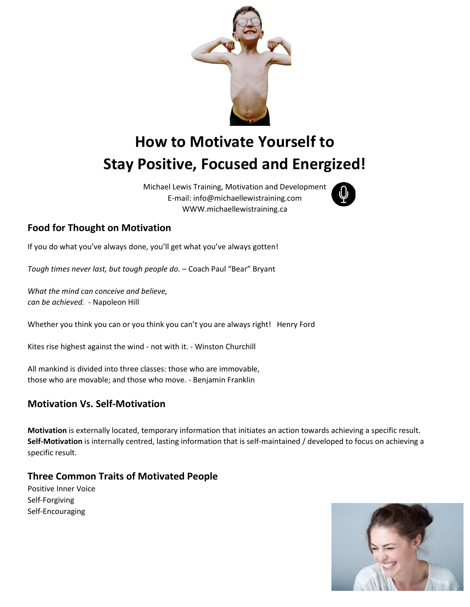

# **How to Motivate Yourself to Stay Positive, Focused and Energized!**

Michael Lewis Training, Motivation and Development E-mail: info@michaellewistraining.com WWW.michaellewistraining.ca



## **Food for Thought on Motivation**

If you do what you've always done, you'll get what you've always gotten!

*Tough times never last, but tough people do.* – Coach Paul "Bear" Bryant

*What the mind can conceive and believe, can be achieved. -* Napoleon Hill

Whether you think you can or you think you can't you are always right! Henry Ford

Kites rise highest against the wind - not with it. - Winston Churchill

All mankind is divided into three classes: those who are immovable, those who are movable; and those who move. - Benjamin Franklin

## **Motivation Vs. Self-Motivation**

**Motivation** is externally located, temporary information that initiates an action towards achieving a specific result. **Self-Motivation** is internally centred, lasting information that is self-maintained / developed to focus on achieving a specific result.

## **Three Common Traits of Motivated People**

Positive Inner Voice Self-Forgiving Self-Encouraging

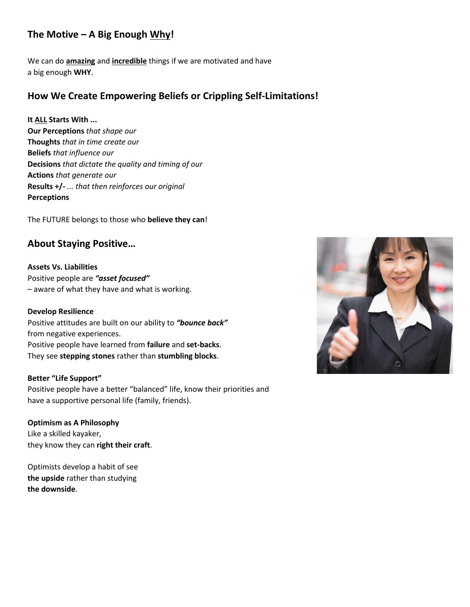## **The Motive – A Big Enough Why!**

We can do **amazing** and **incredible** things if we are motivated and have a big enough **WHY**.

## **How We Create Empowering Beliefs or Crippling Self-Limitations!**

#### **It ALL Starts With ...**

**Our Perceptions** *that shape our*  **Thoughts** *that in time create our* **Beliefs** *that influence our* **Decisions** *that dictate the quality and timing of our* **Actions** *that generate our* **Results +/-** *... that then reinforces our original* **Perceptions**

The FUTURE belongs to those who **believe they can**!

## **About Staying Positive…**

**Assets Vs. Liabilities** Positive people are *"asset focused"*  – aware of what they have and what is working.

#### **Develop Resilience**

Positive attitudes are built on our ability to *"bounce back"*  from negative experiences. Positive people have learned from **failure** and **set-backs**. They see **stepping stones** rather than **stumbling blocks**.

#### **Better "Life Support"**

Positive people have a better "balanced" life, know their priorities and have a supportive personal life (family, friends).

**Optimism as A Philosophy** Like a skilled kayaker, they know they can **right their craft**.

Optimists develop a habit of see **the upside** rather than studying **the downside**.

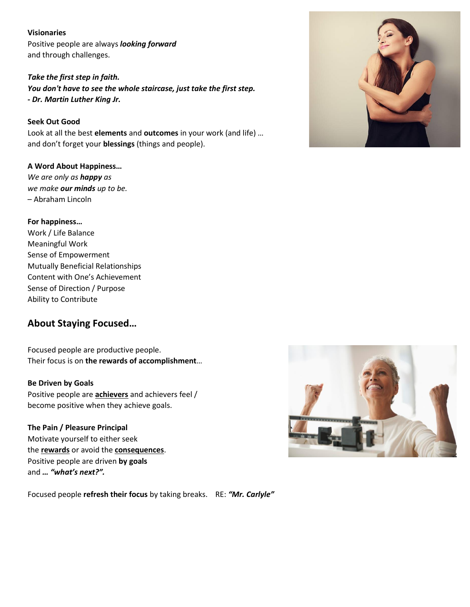#### **Visionaries**

Positive people are always *looking forward*  and through challenges.

*Take the first step in faith. You don't have to see the whole staircase, just take the first step. - Dr. Martin Luther King Jr.* 

**Seek Out Good**  Look at all the best **elements** and **outcomes** in your work (and life) … and don't forget your **blessings** (things and people).

#### **A Word About Happiness…**

*We are only as happy as we make our minds up to be.*  – Abraham Lincoln

#### **For happiness…**

Work / Life Balance Meaningful Work Sense of Empowerment Mutually Beneficial Relationships Content with One's Achievement Sense of Direction / Purpose Ability to Contribute

## **About Staying Focused…**

Focused people are productive people. Their focus is on **the rewards of accomplishment**…

#### **Be Driven by Goals**

Positive people are **achievers** and achievers feel / become positive when they achieve goals.

#### **The Pain / Pleasure Principal**

Motivate yourself to either seek the **rewards** or avoid the **consequences**. Positive people are driven **by goals**  and *… "what's next?".*



Focused people **refresh their focus** by taking breaks. RE: *"Mr. Carlyle"*